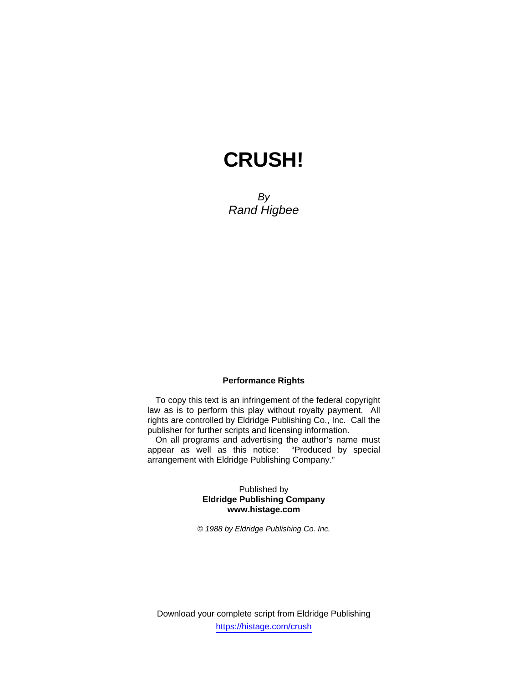# **CRUSH!**

*By Rand Higbee* 

#### **Performance Rights**

To copy this text is an infringement of the federal copyright law as is to perform this play without royalty payment. All rights are controlled by Eldridge Publishing Co., Inc. Call the publisher for further scripts and licensing information.

On all programs and advertising the author's name must appear as well as this notice: "Produced by special arrangement with Eldridge Publishing Company."

#### Published by **Eldridge Publishing Company www.histage.com**

*© 1988 by Eldridge Publishing Co. Inc.*

Download your complete script from Eldridge Publishing https://histage.com/crush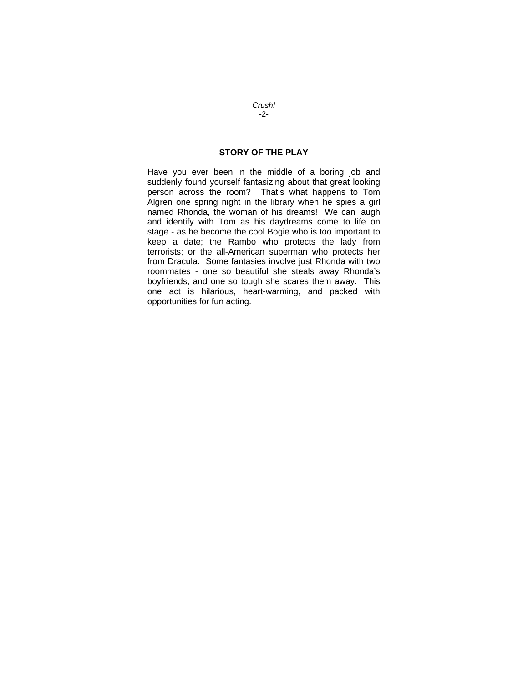# **STORY OF THE PLAY**

Have you ever been in the middle of a boring job and suddenly found yourself fantasizing about that great looking person across the room? That's what happens to Tom Algren one spring night in the library when he spies a girl named Rhonda, the woman of his dreams! We can laugh and identify with Tom as his daydreams come to life on stage - as he become the cool Bogie who is too important to keep a date; the Rambo who protects the lady from terrorists; or the all-American superman who protects her from Dracula. Some fantasies involve just Rhonda with two roommates - one so beautiful she steals away Rhonda's boyfriends, and one so tough she scares them away. This one act is hilarious, heart-warming, and packed with opportunities for fun acting.

*Crush! -*2*-*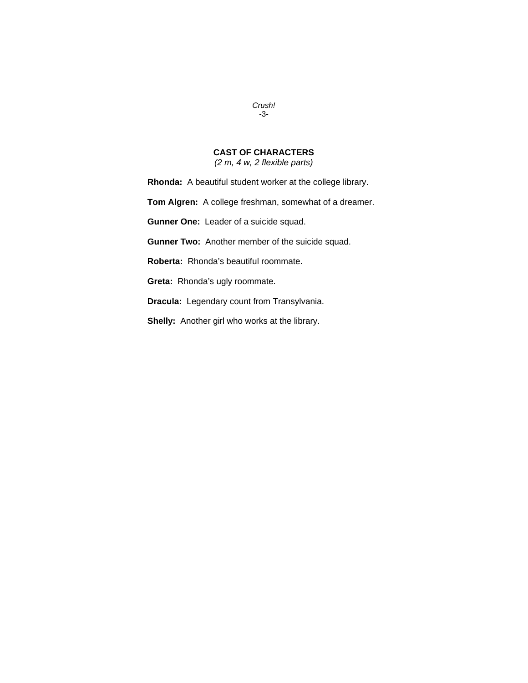## *Crush! -*3*-*

# **CAST OF CHARACTERS**

*(2 m, 4 w, 2 flexible parts)* 

**Rhonda:** A beautiful student worker at the college library.

**Tom Algren:** A college freshman, somewhat of a dreamer.

**Gunner One:** Leader of a suicide squad.

**Gunner Two:** Another member of the suicide squad.

**Roberta:** Rhonda's beautiful roommate.

**Greta:** Rhonda's ugly roommate.

**Dracula:** Legendary count from Transylvania.

**Shelly:** Another girl who works at the library.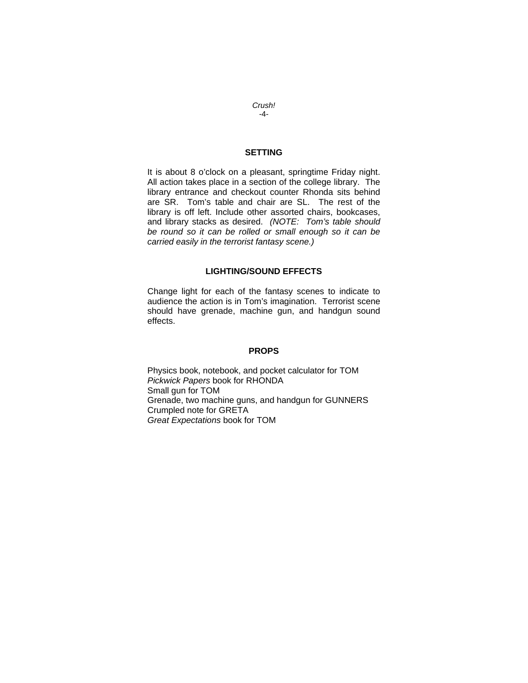*Crush! -*4*-* 

## **SETTING**

It is about 8 o'clock on a pleasant, springtime Friday night. All action takes place in a section of the college library. The library entrance and checkout counter Rhonda sits behind are SR. Tom's table and chair are SL. The rest of the library is off left. Include other assorted chairs, bookcases, and library stacks as desired. *(NOTE: Tom's table should be round so it can be rolled or small enough so it can be carried easily in the terrorist fantasy scene.)*

#### **LIGHTING/SOUND EFFECTS**

Change light for each of the fantasy scenes to indicate to audience the action is in Tom's imagination. Terrorist scene should have grenade, machine gun, and handgun sound effects.

#### **PROPS**

Physics book, notebook, and pocket calculator for TOM *Pickwick Papers* book for RHONDA Small gun for TOM Grenade, two machine guns, and handgun for GUNNERS Crumpled note for GRETA *Great Expectations* book for TOM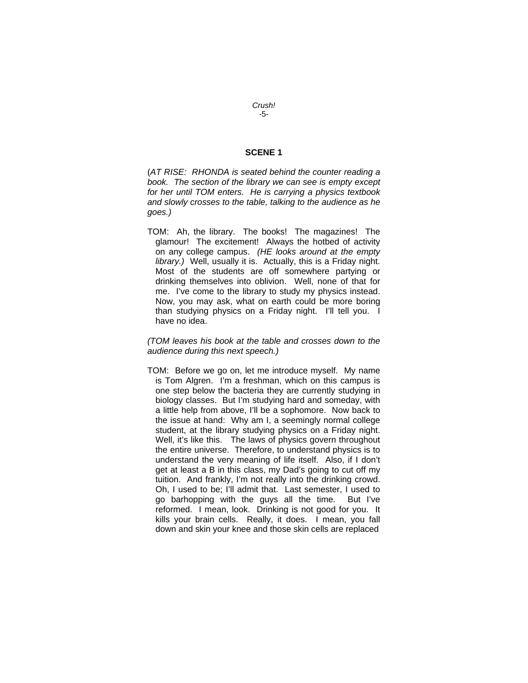#### **SCENE 1**

(*AT RISE: RHONDA is seated behind the counter reading a book. The section of the library we can see is empty except for her until TOM enters. He is carrying a physics textbook and slowly crosses to the table, talking to the audience as he goes.)* 

TOM: Ah, the library. The books! The magazines! The glamour! The excitement! Always the hotbed of activity on any college campus. *(HE looks around at the empty library.)* Well, usually it is. Actually, this is a Friday night. Most of the students are off somewhere partying or drinking themselves into oblivion. Well, none of that for me. I've come to the library to study my physics instead. Now, you may ask, what on earth could be more boring than studying physics on a Friday night. I'll tell you. I have no idea.

#### *(TOM leaves his book at the table and crosses down to the audience during this next speech.)*

TOM: Before we go on, let me introduce myself. My name is Tom Algren. I'm a freshman, which on this campus is one step below the bacteria they are currently studying in biology classes. But I'm studying hard and someday, with a little help from above, I'll be a sophomore. Now back to the issue at hand: Why am I, a seemingly normal college student, at the library studying physics on a Friday night. Well, it's like this. The laws of physics govern throughout the entire universe. Therefore, to understand physics is to understand the very meaning of life itself. Also, if I don't get at least a B in this class, my Dad's going to cut off my tuition. And frankly, I'm not really into the drinking crowd. Oh, I used to be; I'll admit that. Last semester, I used to go barhopping with the guys all the time. But I've reformed. I mean, look. Drinking is not good for you. It kills your brain cells. Really, it does. I mean, you fall down and skin your knee and those skin cells are replaced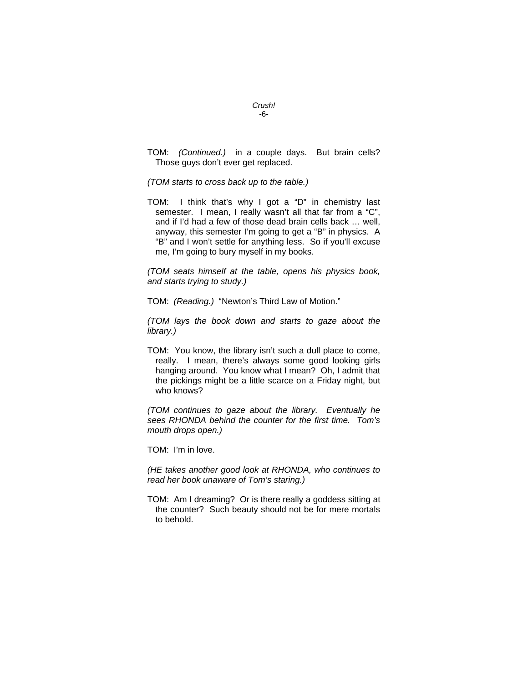TOM: *(Continued.)* in a couple days. But brain cells? Those guys don't ever get replaced.

*(TOM starts to cross back up to the table.)* 

TOM: I think that's why I got a "D" in chemistry last semester. I mean, I really wasn't all that far from a "C", and if I'd had a few of those dead brain cells back … well, anyway, this semester I'm going to get a "B" in physics. A "B" and I won't settle for anything less. So if you'll excuse me, I'm going to bury myself in my books.

*(TOM seats himself at the table, opens his physics book, and starts trying to study.)* 

TOM: *(Reading.)* "Newton's Third Law of Motion."

*(TOM lays the book down and starts to gaze about the library.)* 

TOM: You know, the library isn't such a dull place to come, really. I mean, there's always some good looking girls hanging around. You know what I mean? Oh, I admit that the pickings might be a little scarce on a Friday night, but who knows?

*(TOM continues to gaze about the library. Eventually he sees RHONDA behind the counter for the first time. Tom's mouth drops open.)* 

TOM: I'm in love.

*(HE takes another good look at RHONDA, who continues to read her book unaware of Tom's staring.)* 

TOM: Am I dreaming? Or is there really a goddess sitting at the counter? Such beauty should not be for mere mortals to behold.

#### *Crush! -*6*-*